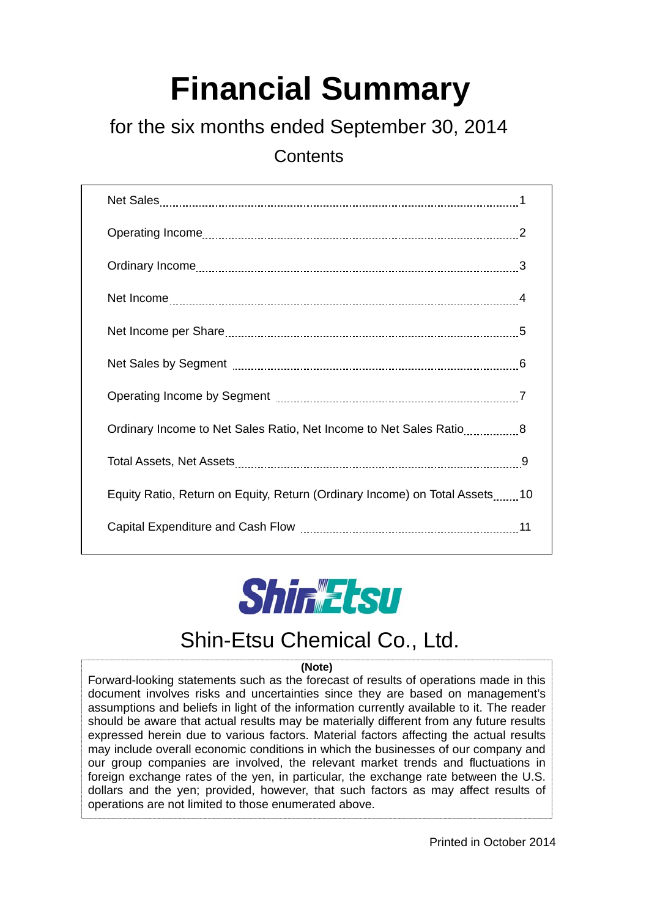# **Financial Summary**

# for the six months ended September 30, 2014

**Contents** 

| Ordinary Income to Net Sales Ratio, Net Income to Net Sales Ratio8         |
|----------------------------------------------------------------------------|
|                                                                            |
| Equity Ratio, Return on Equity, Return (Ordinary Income) on Total Assets10 |
|                                                                            |



# Shin-Etsu Chemical Co., Ltd.

### **(Note)**

Forward-looking statements such as the forecast of results of operations made in this document involves risks and uncertainties since they are based on management's assumptions and beliefs in light of the information currently available to it. The reader should be aware that actual results may be materially different from any future results expressed herein due to various factors. Material factors affecting the actual results may include overall economic conditions in which the businesses of our company and our group companies are involved, the relevant market trends and fluctuations in foreign exchange rates of the yen, in particular, the exchange rate between the U.S. dollars and the yen; provided, however, that such factors as may affect results of operations are not limited to those enumerated above.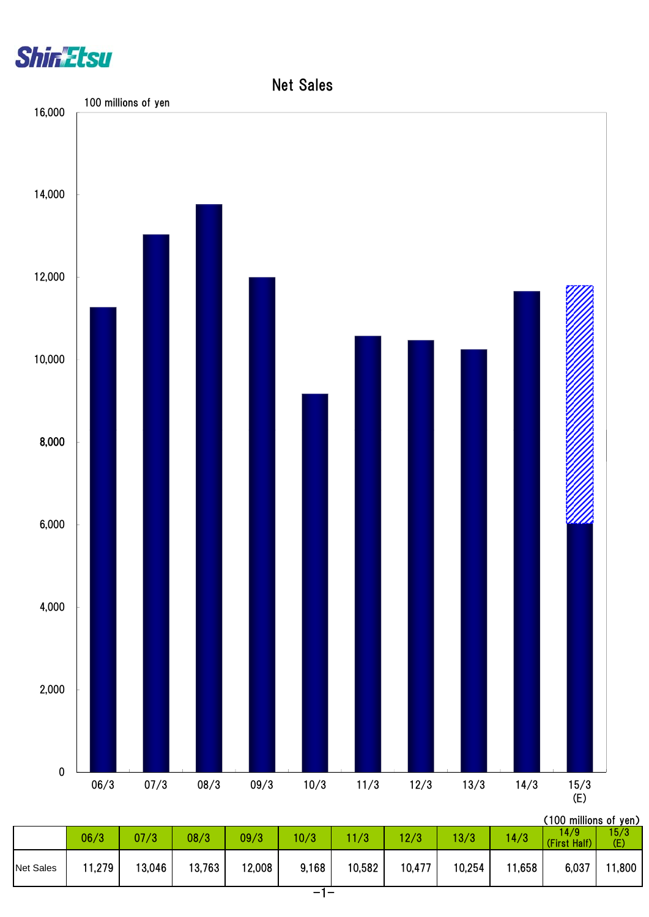



| 14/9<br>06/3<br>12/3<br>10/3<br>1/3<br>13/3<br>07/3<br>08/3<br>09/3<br>14/3<br>(E)<br>(First Half)<br>13,763<br>11,279<br>12,008<br>10,582<br>10,477<br>13,046<br>9,168<br>10,254<br>11,658<br>6,037<br><b>Net Sales</b> |  |  |  |  |  | ( I VV IIIIIIIVIII 6 VI I YUI |       |
|--------------------------------------------------------------------------------------------------------------------------------------------------------------------------------------------------------------------------|--|--|--|--|--|-------------------------------|-------|
|                                                                                                                                                                                                                          |  |  |  |  |  |                               | 15/3  |
|                                                                                                                                                                                                                          |  |  |  |  |  |                               | 1,800 |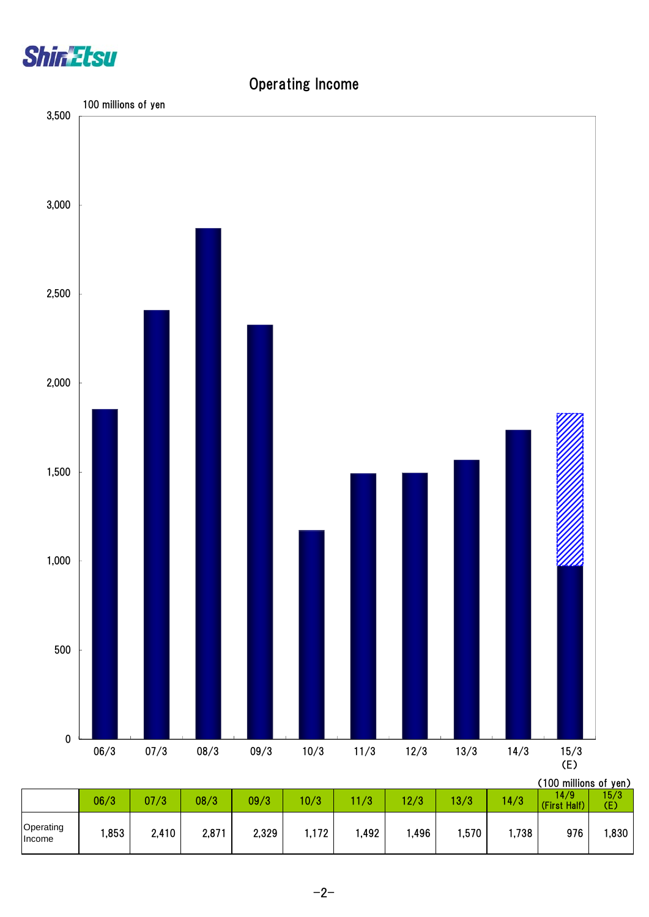

# (100 millions of yen) 06/3 07/3 08/3 09/3 10/3 11/3 12/3 13/3 14/3  $\frac{14/9}{\text{Circuit}}$ (First Half) 15/3  $\frac{15/3}{(E)}$ 0 500 1,000 1,500 2,000 2,500 3,000 3,500 06/3 07/3 08/3 09/3 10/3 11/3 12/3 13/3 14/3 15/3  $15/3$ <br>(E) 100 millions of yen

## Operating Income

|                     | U0/3 | U / / 3 | U8/3\ | UY/ 3 | U/3   | 1/3  | Z/3   | J / J | 4/3   | st Half)<br><b>Tirst</b> | (E)  |
|---------------------|------|---------|-------|-------|-------|------|-------|-------|-------|--------------------------|------|
| Operating<br>Income | ,853 | 2,410   | 2,871 | 2,329 | 1,172 | ,492 | .,496 | ,570  | 1,738 | 976                      | ,830 |
|                     |      |         |       |       |       |      |       |       |       |                          |      |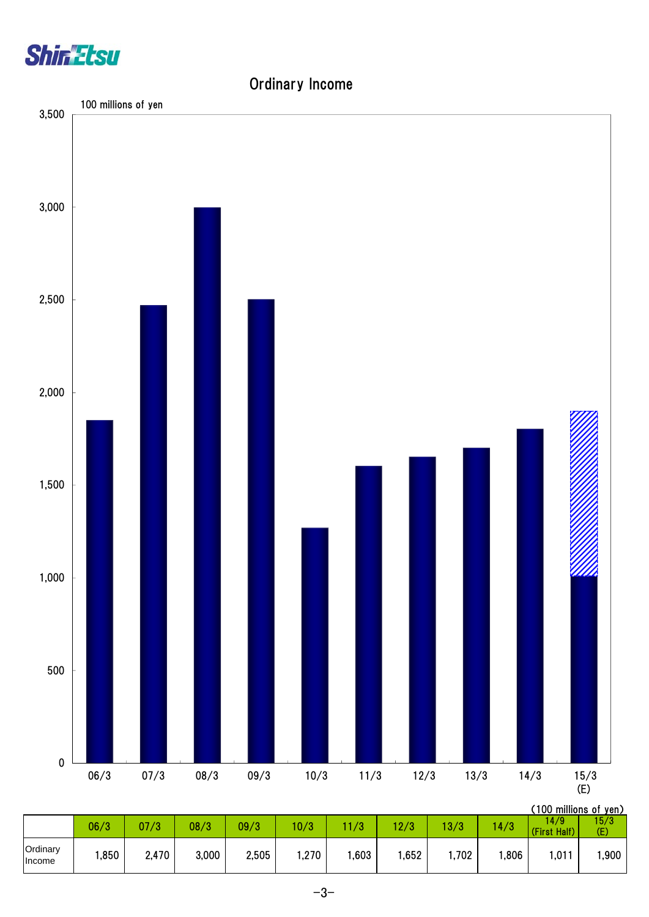



Ordinary Income

#### 06/3 | 07/3 | 08/3 | 09/3 | 10/3 | 11/3 | 12/3 | 13/3 | 14/3 | 15:01 ||  $14/9$ <br>(First Half) 15/3 (E) Ordinary | 1,850 | 2,470 | 3,000 | 2,505 | 1,270 | 1,603 | 1,652 | 1,702 | 1,806 | 1,011 | 1,900  $\begin{array}{c|c|c|c|c|c|c|c|c} \hline \text{Linear} & 1,850 & 2,470 & 3,000 & 2,505 & 1,270 & 1,603 & 1,652 & 1,702 & 1,806 \ \hline \end{array}$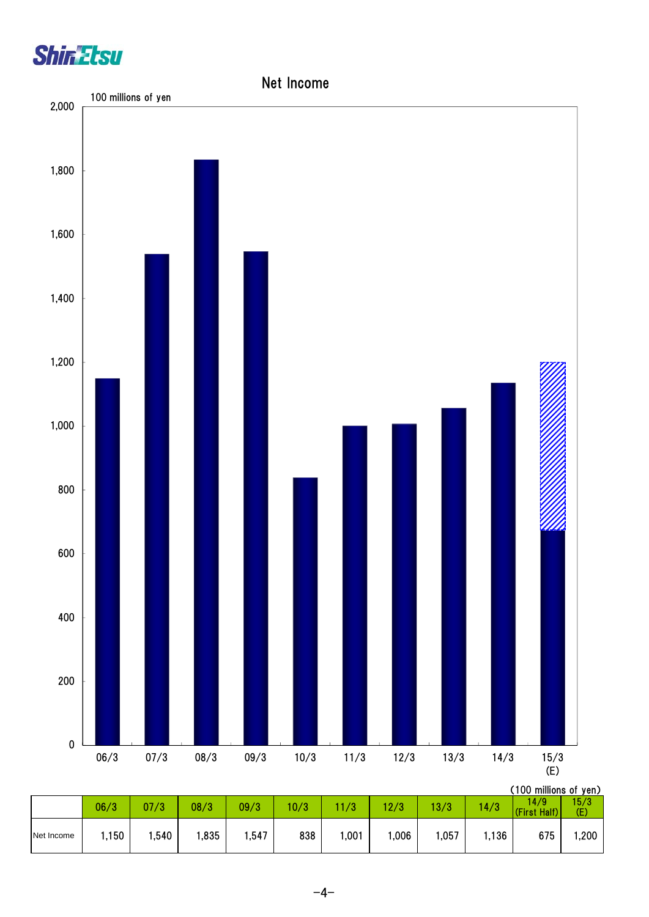



|            | 06/3 | 07/3 | 08/3 | 09/3 | 10/3 | 11/3  | 12/3 | 13/3 | 14/3  | , וטט וווווווטווט טוו<br>14/9<br>(First Half) | 15/3<br>(E) |
|------------|------|------|------|------|------|-------|------|------|-------|-----------------------------------------------|-------------|
| Net Income | ,150 | ,540 | ,835 | ,547 | 838  | 1,001 | ,006 | ,057 | i,136 | 675                                           | 1,200       |

 $-4-$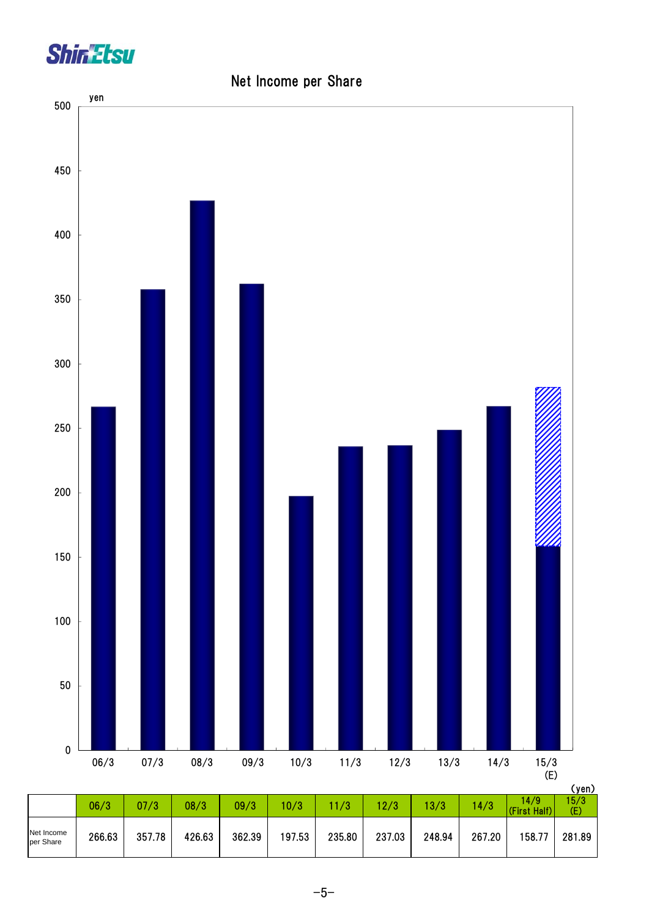



## Net Income per Share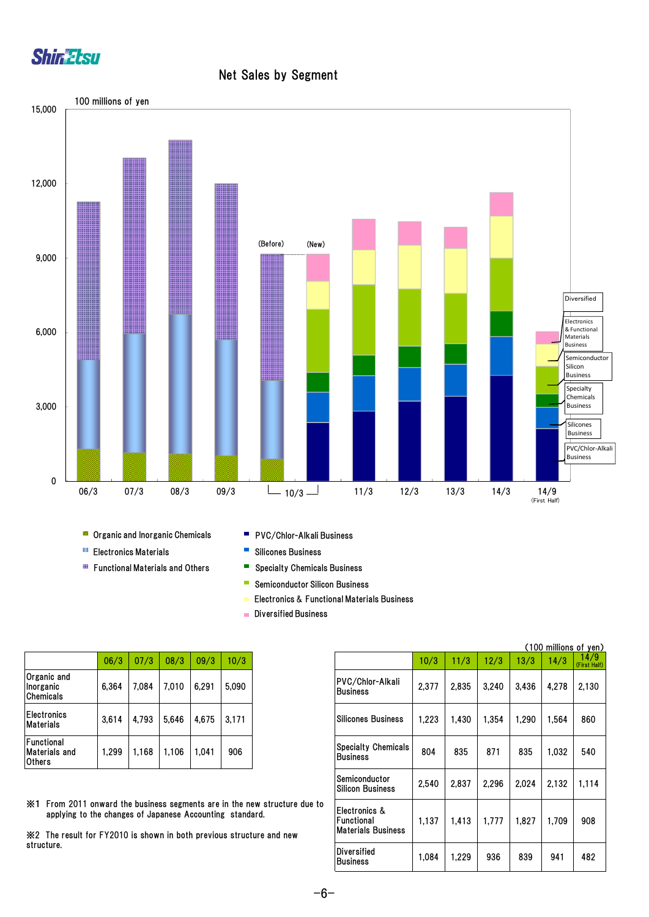

### Net Sales by Segment



- **Organic and Inorganic Chemicals**
- **Electronics Materials**
- **Functional Materials and Others**
- **PVC/Chlor-Alkali Business**
- $\Box$ Silicones Business
- Specialty Chemicals Business
- **Semiconductor Silicon Business**
- Electronics & Functional Materials Business
- **Diversified Business**

|                                       | 06/3  | 07/3  | 08/3  | 09/3  | 10/3  |
|---------------------------------------|-------|-------|-------|-------|-------|
| Organic and<br>Inorganic<br>Chemicals | 6,364 | 7.084 | 7,010 | 6,291 | 5,090 |
| <b>Electronics</b><br>Materials       | 3,614 | 4.793 | 5.646 | 4,675 | 3,171 |
| Functional<br>Materials and<br>Others | 1.299 | 1.168 | 1.106 | 1.041 | 906   |

|                                                                                                                                                                                                               |       |       |       |       |       |                                                          |       |       |       |       |       | (100 millions of yen) |
|---------------------------------------------------------------------------------------------------------------------------------------------------------------------------------------------------------------|-------|-------|-------|-------|-------|----------------------------------------------------------|-------|-------|-------|-------|-------|-----------------------|
|                                                                                                                                                                                                               | 06/3  | 07/3  | 08/3  | 09/3  | 10/3  |                                                          | 10/3  | 11/3  | 12/3  | 13/3  | 14/3  | 14/9<br>(First Half)  |
| Organic and<br>Inorganic<br>Chemicals                                                                                                                                                                         | 6,364 | 7,084 | 7,010 | 6,291 | 5,090 | PVC/Chlor-Alkali<br><b>Business</b>                      | 2,377 | 2,835 | 3,240 | 3,436 | 4,278 | 2.130                 |
| Electronics<br>Materials                                                                                                                                                                                      | 3,614 | 4,793 | 5,646 | 4,675 | 3,171 | <b>Silicones Business</b>                                | 1,223 | 1,430 | 1,354 | 1,290 | 1,564 | 860                   |
| Functional<br>Materials and<br>Others                                                                                                                                                                         | 1.299 | 1,168 | 1,106 | 1,041 | 906   | <b>Specialty Chemicals</b><br><b>Business</b>            | 804   | 835   | 871   | 835   | 1,032 | 540                   |
|                                                                                                                                                                                                               |       |       |       |       |       | Semiconductor<br><b>Silicon Business</b>                 | 2,540 | 2,837 | 2,296 | 2,024 | 2.132 | 1,114                 |
| ※1 From 2011 onward the business segments are in the new structure due to<br>applying to the changes of Japanese Accounting standard.<br>※2 The result for FY2010 is shown in both previous structure and new |       |       |       |       |       | Electronics &<br>Functional<br><b>Materials Business</b> | 1,137 | 1,413 | 1,777 | 1,827 | 1,709 | 908                   |
| structure.                                                                                                                                                                                                    |       |       |       |       |       | <b>Diversified</b><br><b>Business</b>                    | 1,084 | 1,229 | 936   | 839   | 941   | 482                   |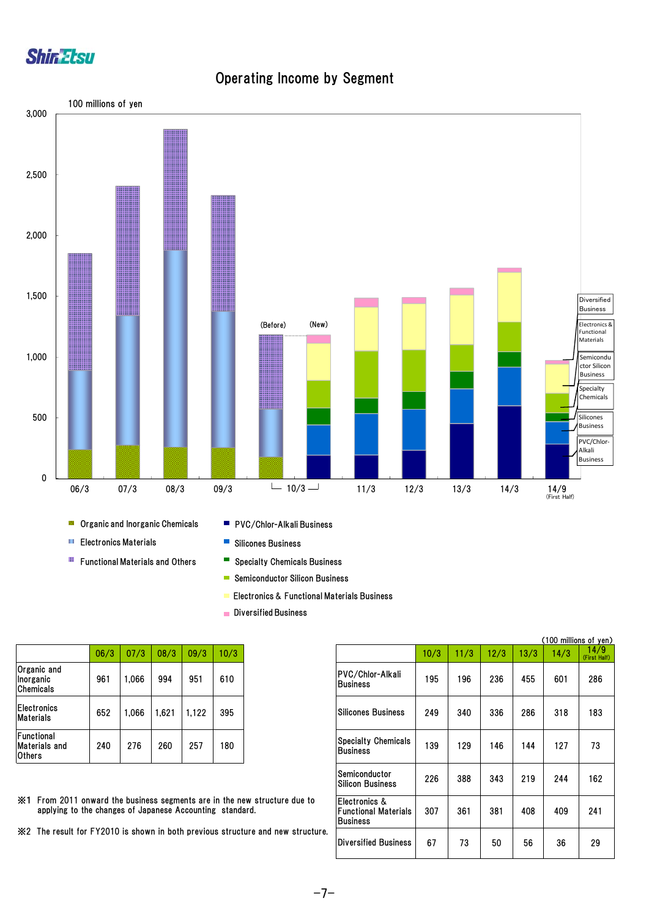

## Operating Income by Segment



- œ Functional Materials and Others
- - Specialty Chemicals Business
	- Semiconductor Silicon Business
	- Electronics & Functional Materials Business
	- Diversified Business

|                                                     | 06/3 | 07/3  | 08/3  | 09/3  | 10/3 |
|-----------------------------------------------------|------|-------|-------|-------|------|
| <b>Organic and</b><br>Inorganic<br>Chemicals        | 961  | 1.066 | 994   | 951   | 610  |
| <b>Electronics</b><br><b>Materials</b>              | 652  | 1.066 | 1.621 | 1,122 | 395  |
| Functional<br><b>Materials and</b><br><b>Others</b> | 240  | 276   | 260   | 257   | 180  |

- ※1 From 2011 onward the business segments are in the new structure due to applying to the changes of Japanese Accounting standard.
- ※2 The result for FY2010 is shown in both previous structure and new structure.

|                                                                                                                                           |      |       |       |       |      |                                                                  |      |      |      |      | (100 millions of yen) |                      |
|-------------------------------------------------------------------------------------------------------------------------------------------|------|-------|-------|-------|------|------------------------------------------------------------------|------|------|------|------|-----------------------|----------------------|
|                                                                                                                                           | 06/3 | 07/3  | 08/3  | 09/3  | 10/3 |                                                                  | 10/3 | 11/3 | 12/3 | 13/3 | 14/3                  | 14/9<br>(First Half) |
| Organic and<br>Inorganic<br>Chemicals                                                                                                     | 961  | 1.066 | 994   | 951   | 610  | <b>PVC/Chlor-Alkali</b><br><b>Business</b>                       | 195  | 196  | 236  | 455  | 601                   | 286                  |
| Electronics<br>Materials                                                                                                                  | 652  | 1.066 | 1,621 | 1,122 | 395  | <b>Silicones Business</b>                                        | 249  | 340  | 336  | 286  | 318                   | 183                  |
| Functional<br>Materials and<br>Others                                                                                                     | 240  | 276   | 260   | 257   | 180  | <b>Specialty Chemicals</b><br><b>Business</b>                    | 139  | 129  | 146  | 144  | 127                   | 73                   |
|                                                                                                                                           |      |       |       |       |      | Semiconductor<br><b>Silicon Business</b>                         | 226  | 388  | 343  | 219  | 244                   | 162                  |
| $\%$ 1 From 2011 onward the business segments are in the new structure due to<br>applying to the changes of Japanese Accounting standard. |      |       |       |       |      | IElectronics &<br><b>Functional Materials</b><br><b>Business</b> | 307  | 361  | 381  | 408  | 409                   | 241                  |
| ※2 The result for FY2010 is shown in both previous structure and new structure.                                                           |      |       |       |       |      | <b>Diversified Business</b>                                      | 67   | 73   | 50   | 56   | 36                    | 29                   |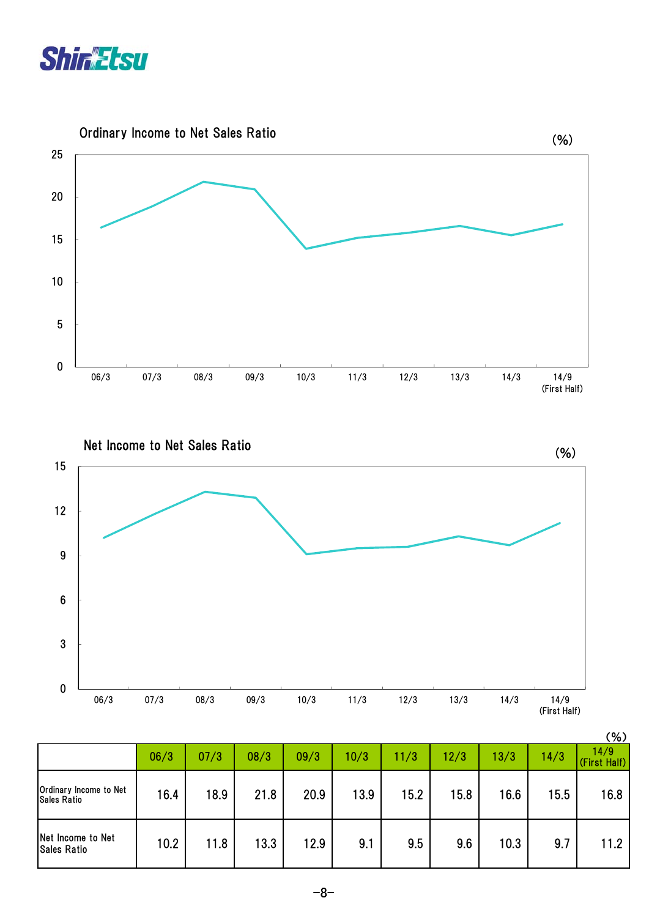



Net Income to Net Sales Ratio Net Income to Net Sales (%) 0 3 6 9 12 15 06/3 07/3 08/3 09/3 10/3 11/3 12/3 13/3 14/3 14/9 (First Half)

|                                              |      |      |      |      |      |      |      |      |      | (%)                  |
|----------------------------------------------|------|------|------|------|------|------|------|------|------|----------------------|
|                                              | 06/3 | 07/3 | 08/3 | 09/3 | 10/3 | 11/3 | 12/3 | 13/3 | 14/3 | 14/9<br>(First Half) |
| Ordinary Income to Net<br><b>Sales Ratio</b> | 16.4 | 18.9 | 21.8 | 20.9 | 13.9 | 15.2 | 15.8 | 16.6 | 15.5 | 16.8                 |
| Net Income to Net<br><b>Sales Ratio</b>      | 10.2 | 11.8 | 13.3 | 12.9 | 9.1  | 9.5  | 9.6  | 10.3 | 9.7  | 11.2                 |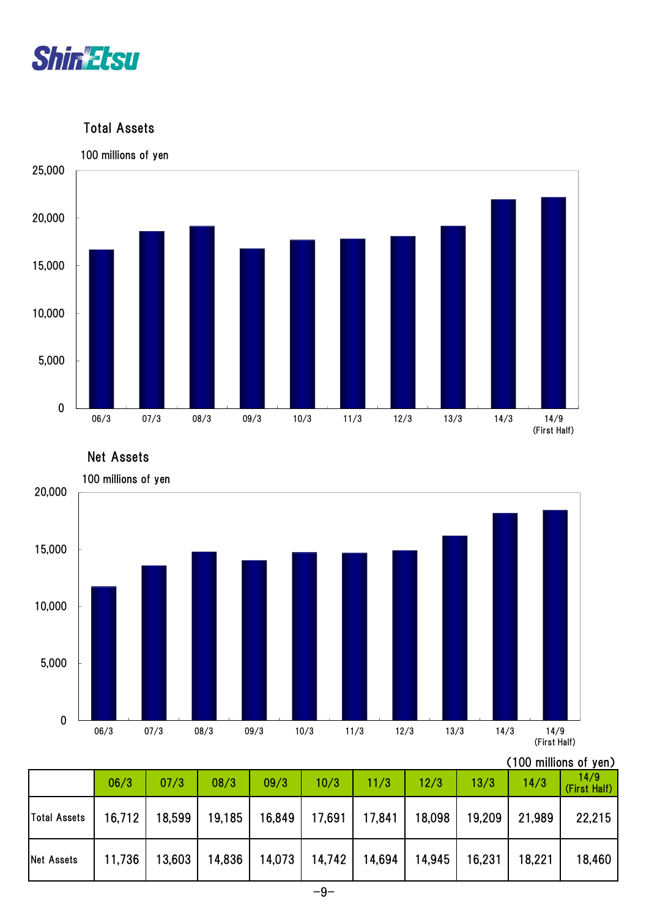

Total Assets



Net Assets



## (100 millions of yen)

|                   | 06/3   | 07/3                                                         | 08/3 | 09/3                                                | 10/3 | 11/3 | 12/3 | 13/3 | 14/3            | 14/9<br>(First Half) |
|-------------------|--------|--------------------------------------------------------------|------|-----------------------------------------------------|------|------|------|------|-----------------|----------------------|
| Total Assets      |        | 16,712   18,599   19,185   16,849   17,691   17,841   18,098 |      |                                                     |      |      |      |      | 19,209 21,989   | 22,215               |
| <b>Net Assets</b> | 11,736 |                                                              |      | 13,603   14,836   14,073   14,742   14,694   14,945 |      |      |      |      | 16,231   18,221 | 18,460               |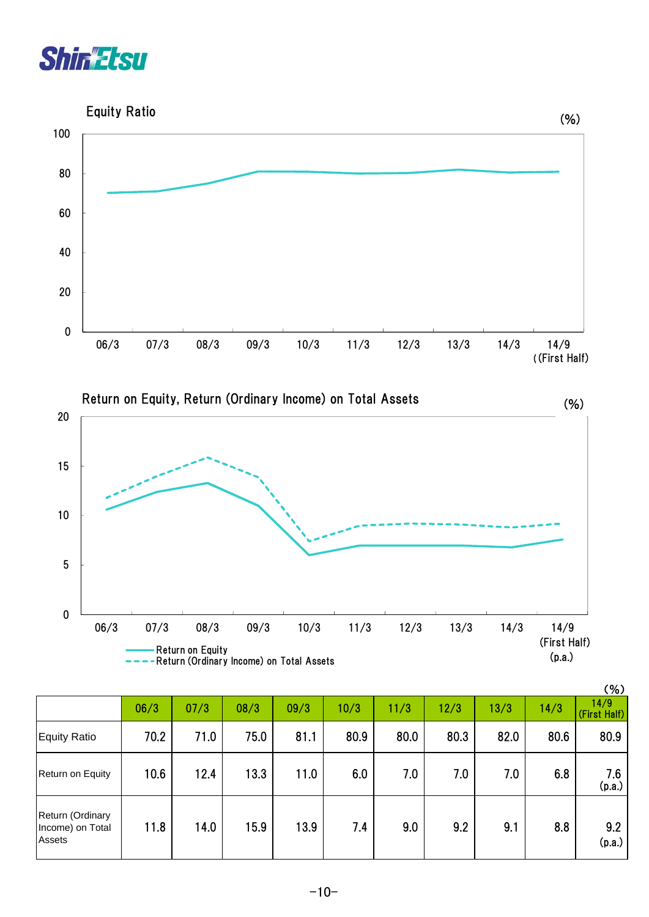







|                                                |      |      |      |      |      |      |      |      |      | (% )                 |
|------------------------------------------------|------|------|------|------|------|------|------|------|------|----------------------|
|                                                | 06/3 | 07/3 | 08/3 | 09/3 | 10/3 | 11/3 | 12/3 | 13/3 | 14/3 | 14/9<br>(First Half) |
| <b>Equity Ratio</b>                            | 70.2 | 71.0 | 75.0 | 81.1 | 80.9 | 80.0 | 80.3 | 82.0 | 80.6 | 80.9                 |
| Return on Equity                               | 10.6 | 12.4 | 13.3 | 11.0 | 6.0  | 7.0  | 7.0  | 7.0  | 6.8  | 7.6<br>(p.a.)        |
| Return (Ordinary<br>Income) on Total<br>Assets | 11.8 | 14.0 | 15.9 | 13.9 | 7.4  | 9.0  | 9.2  | 9.1  | 8.8  | 9.2<br>(p.a.)        |